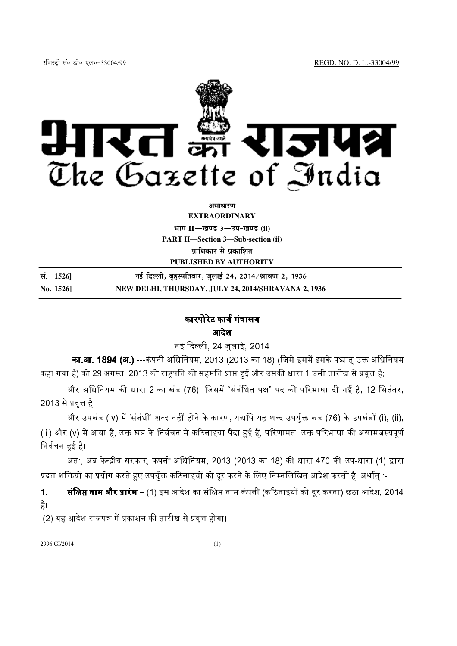

*s***iसाधारण** 

**EXTRAORDINARY**

**Hkkx II**—**[k.M 3**—**mi&[k.M (ii) PART II—Section 3—Sub-section (ii) प्राधिकार से प्रकाशित** 

**PUBLISHED BY AUTHORITY** 

**la- 1526**] **ubZ fnYyh] c`gLifrokj] tqykbZ 24] 2014@Jko.k 2] 1936 No. 1526] NEW DELHI, THURSDAY, JULY 24, 2014/SHRAVANA 2, 1936** 

# कारपोरेट कार्य मंत्रालय

### आदेश

नई दिल्ली. 24 जलाई. 2014

**का.आ. 1894 (अ.)** ---कंपनी अधिनियम. 2013 (2013 का 18) (जिसे इसमें इसके पश्चात उक्त अधिनियम कहा गया है) को 29 
, 2013  
 1 !
!"#\$%&;

और अधिनियम की धारा 2 का खंड (76), जिसमें "संबंधित पक्ष" पद की परिभाषा दी गई है, 12 सितंबर, <u>2013 से प्रवृत्त है।</u>

और उपखंड (iv) में 'संबंधी' शब्द नहीं होने के कारण. यद्यपि यह शब्द उपर्यक्त खंड (76) के उपखंडों (i), (ii), (iii) और (v) में आया है. उक्त खंड के निर्वचन में कठिनाइयां पैदा हुई हैं. परिणामत: उक्त परिभाषा की असामंजस्यपर्ण निर्वचन हुई है।

अत:. अब केन्द्रीय सरकार. कंपनी अधिनियम. 2013 (2013 का 18) की धारा 470 की उप-धारा (1) द्वारा प्रदत्त शक्तियों का प्रयोग करते हुए उपर्यक्त कठिनाइयों को दर करने के लिए निम्नलिखित आदेश करती है. अर्थात :-

 $1<sub>-</sub>$ **क्षिप्त नाम और प्रारंभ** – (1) इस आदेश का संक्षिप्त नाम कंपनी (कठिनाइयों को दर करना) छठा आदेश. 2014 है।

(2) यह आदेश राजपत्र में प्रकाशन की तारीख से प्रवत्त होगा।

2996 GI/2014 (1)